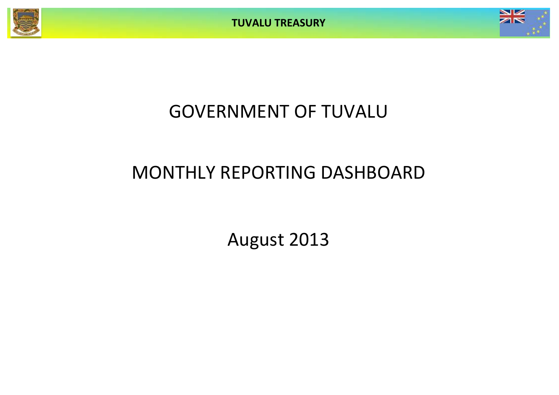



# GOVERNMENT OF TUVALU

# MONTHLY REPORTING DASHBOARD

August 2013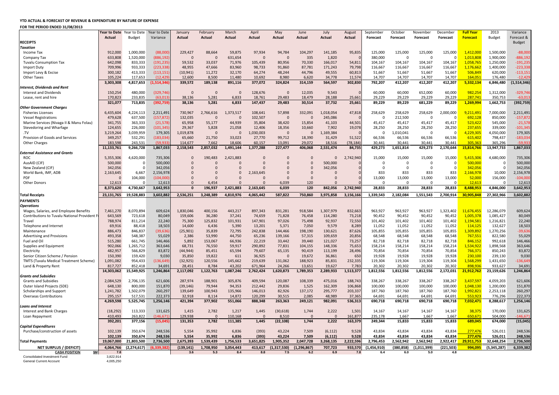#### **YTD ACTUAL & FORECAST OF REVENUE & EXPENDITURE BY NATURE OF EXPENSE**

#### **FOR THE PERIOD ENDED 31/08/2013**

|                                               | Actual             | Year to Date Year to Date<br><b>Budget</b> | Year to Date<br>Variance | January<br>Actual | February<br>Actual | March<br>Actual | April<br>Actual | May<br>Actual    | June<br>Actual | July<br>Actual       | August<br>Actual | September<br>Forecast | October<br>Forecast | November<br>Forecast | December<br><b>Forecast</b> | <b>Full Year</b><br><b>Forecast</b> | 2013<br><b>Budget</b> | Variance<br>Forecast & |
|-----------------------------------------------|--------------------|--------------------------------------------|--------------------------|-------------------|--------------------|-----------------|-----------------|------------------|----------------|----------------------|------------------|-----------------------|---------------------|----------------------|-----------------------------|-------------------------------------|-----------------------|------------------------|
| <b>RECEIPTS</b>                               |                    |                                            |                          |                   |                    |                 |                 |                  |                |                      |                  |                       |                     |                      |                             |                                     |                       | Budget                 |
| <b>Taxation</b>                               |                    |                                            |                          |                   |                    |                 |                 |                  |                |                      |                  |                       |                     |                      |                             |                                     |                       |                        |
| Income Tax                                    | 912,000            | 1,000,000                                  | (88,000)                 | 229,427           | 88,664             | 59,875          | 97,934          | 94,784           | 104,297        | 141,185              | 95,835           | 125,000               | 125,000             | 125,000              | 125,000                     | 1,412,000                           | 1,500,000             | $-88,000$              |
| Company Tax                                   | 633,808            | 1,520,000                                  | (886,192                 | $\Omega$          | $\Omega$           | 631,654         | $\Omega$        | $\Omega$         | 335            | 1,820                |                  | 380,000               | $\mathbf{0}$        | $\Omega$             | $\Omega$                    | 1,013,808                           | 1,900,000             | $-886, 192$            |
| <b>Tuvalu Consumption Tax</b>                 | 642.098            | 833,333                                    | (191.235                 | 59.532            | 33.037             | 71.976          | 105.439         | 80.956           | 70.330         | 166.017              | 54.811           | 104,167               | 104.167             | 104.167              | 104.167                     | 1,058,765                           | 1.250.000             | $-191,23$              |
| Import Duty                                   | 709,996            | 933,333                                    | (223, 338)               | 48,955            | 47,666             | 83,960          | 98,733          | 91,860           | 87,781         | 171,243              | 79,798           | 116,667               | 116,667             | 116,667              | 116,667                     | 1,176,662                           | 1,400,000             | $-223,33$              |
| Import Levy & Excise                          | 300,182            | 413,333                                    | (113, 151)               | (10, 941)         | 11,272             | 32,170          | 64,274          | 48,244           | 44,796         | 49,555               | 60,813           | 51,667                | 51,667              | 51,667               | 51,667                      | 506,849                             | 620,000               | $-113,15$              |
| Other Taxes                                   | 105,224            | 117,653                                    | (12, 429)                | 12,600            | 8,500              | 11,480          | 10,692          | 8,980            | 6,620          | 34,778               | 11,574           | 14,707                | 14,707              | 14,707               | 14,707                      | 164,051                             | 176,480               | $-12,42$               |
|                                               | 3,303,308          | 4,817,653                                  | 1.514.346                | 339,572           | 189,138            | 891,116         | 377,072         | 324,824          | 314,159        | 564,597              | 302,830          | 792,207               | 412,207             | 412,207              | 412,207                     | 5,332,134                           | 6,846,480             | (1,514,346)            |
| Interest, Dividends and Rent                  |                    |                                            |                          |                   |                    |                 |                 |                  |                |                      |                  |                       |                     |                      |                             |                                     |                       |                        |
| Interest and Dividends                        | 150.254            | 480,000                                    | (329,746                 | $\Omega$          | $\Omega$           | $\Omega$        | 128.676         | $\Omega$         | 12,035         | 9.543                |                  | 60,000                | 60,000              | 652,000              | 60.000                      | 982,254                             | 1.312.000             | $-329.74$              |
| Lease, rent and hire                          | 170,823            | 233,835                                    | (63, 013)                | 38,136            | 5,281              | 6,833           | 18,761          | 29,483           | 18,479         | 28,188               | 25,661           | 29,229                | 29,229              | 29,229               | 29,229                      | 287,741                             | 350,753               | $-63,01$               |
|                                               | 321,077            | 713,835                                    | (392, 759)               | 38,136            | 5,281              | 6,833           | 147,437         | 29,483           | 30,514         | 37,732               | 25,661           | 89,229                | 89,229              | 681,229              | 89,229                      | 1,269,994                           | 1,662,753             | (392, 759)             |
| <b>Other Government Charges</b>               |                    |                                            |                          |                   |                    |                 |                 |                  |                |                      |                  |                       |                     |                      |                             |                                     |                       |                        |
| <b>Fisheries Licenses</b>                     | 6,435,604          | 4,224,113                                  | 2,211,491                | 730,967           | 2,766,616          | 1,373,517       | 108.641         | 57,898           | 332,091        | 1,018,054            | 47,818           | 258,629               | 258,629             | 258,629              | 2,000,000                   | 9,211,491                           | 7,000,000             | 2,211,491              |
| <b>Vessel Registrations</b>                   | 479,628            | 637,500                                    | (157, 872)               | 132,035           | $\Omega$           | $\Omega$        | 102,507         | $\Omega$         | $\Omega$       | 245,086              |                  | $\Omega$              | 212,500             | $\Omega$             | $\mathbf{0}$                | 692,128                             | 850,000               | $-157,87$              |
| Marine Services (Nivaga II & Manu Folau)      | 341,755            | 363,333                                    | (21, 578)                | 65,958            | 55,177             | 44,939          | 35,804          | 38,420           | 15,854         | 41,103               | 44,501           | 45,417                | 45,417              | 45,417               | 45,417                      | 523,422                             | 545,000               | $-21,57$               |
| Stevedoring and Wharfage                      | 124,655            | 226,000                                    | (101, 345)               | 29,367            | 5,828              | 21,058          | 12,406          | 18,356           | 10,660         | 7,902                | 19,078           | 28,250                | 28,250              | 28,250               | 28,250                      | 237,655                             | 339,000               | $-101,34$              |
| TV                                            | 3,219,264          | 3,039,959                                  | 179,305                  | 1,019,878         | $\Omega$           | $\Omega$        | 1,030,003       | $\Omega$         | $\Omega$       | 1,169,384            |                  | $\Omega$              | 1,010,041           | $\Omega$             | $\Omega$                    | 4,229,305                           | 4,050,000             | 179,305                |
| Provision of Goods and Services               | 349,257            | 532,291                                    | (183, 034)               | 65,660            | 21,750             | 33,023          | 27,770          | 99,712           | 18,390         | 31,429               | 51,522           | 66,536                | 66,536              | 66,536               | 66,536                      | 615,402                             | 798,437               | $-183,03$              |
| <b>Other Charges</b>                          | 183.598            | 243.531                                    | (5993)                   | 114,677           | 7.662              | 18.606          | 60.157          | 13.091           | 29.072         | 18.516               | (78.184          | 30.441                | 30.441              | 30.441               | 30 441                      | 305.363                             | 365.296               | $-59.93$               |
|                                               | 11,133,761         | 9,266,728                                  | 1,867,033                | 2,158,543         | 2,857,032          | 1,491,144       | 1,377,288       | 227,477          | 406,068        | 2,531,474            | 84,735           | 429,273               | 1,651,814           | 429,273              | 2,170,644                   | 15,814,766                          | 13,947,733            | 1,867,033              |
| <b>External Assistance and Grants</b>         |                    |                                            |                          |                   |                    |                 |                 |                  |                |                      |                  |                       |                     |                      |                             |                                     |                       |                        |
| <b>ROC</b>                                    | 5,355,306          | 4,620,000                                  | 735,306                  | $\mathbf{0}$      | 190,483            | 2,421,883       | $\Omega$        | $\Omega$         | $\Omega$       | $\Omega$             | 2,742,940        | 15,000                | 15,000              | 15,000               | 15,000                      | 5,415,306                           | 4,680,000             | 735,306                |
| AusAID (CIF)                                  | 500,000            | $\Omega$                                   | 500,000                  | $\Omega$          | $\Omega$           | $\Omega$        | $\Omega$        | $\Omega$         | $\Omega$       | 500,000              |                  | $\Omega$              | $\Omega$            | $\Omega$             | $\Omega$                    | 500,000                             | - 0                   | 500,000                |
| New Zealand (CIF)                             | 342,056            | $\Omega$                                   | 342,056                  | $\Omega$          | $\overline{0}$     | $\Omega$        | $\Omega$        | $\Omega$         | $\Omega$       | 342,056              |                  | $\Omega$              | $\mathbf 0$         | $\Omega$             | $\mathbf{0}$                | 342,056                             | $\Omega$              | 342,056                |
| World Bank, IMF, ADB                          | 2,163,645          | 6.667                                      | 2.156.978                | $\Omega$          | $\Omega$           | $\Omega$        | 2.163.645       | $\Omega$         | $\Omega$       | $\Omega$             |                  | 833                   | 833                 | 833                  | 833                         | 2,166,978                           | 10.000                | 2,156,978              |
| PDF                                           | $\Omega$           | 104,000                                    | (104,000)                | $\Omega$          | $\Omega$           | $\Omega$        | $\Omega$        | $\Omega$         | $\Omega$       | $\Omega$             |                  | 13,000                | 13,000              | 13,000               | 13,000                      | 52,000                              | 156,000               | $-104,00$              |
| <b>Other Donors</b>                           | 12,613             | $\Omega$                                   | 12,613                   | $\Omega$          | 6,454              | $\Omega$        | $\Omega$        | 6,039            | 120            | $\Omega$             |                  | $\Omega$              | $\Omega$            | $\Omega$             | $\Omega$                    | 12,613                              | $\Omega$              | 12,613                 |
|                                               | 8,373,620          | 4,730,667                                  | 3,642,953                | $\mathbf{0}$      | 196,937            | 2,421,883       | 2,163,645       | 6,039            | 120            | 842,056              | 2,742,940        | 28,833                | 28,833              | 28,833               | 28,833                      | 8,488,953                           | 4,846,000             | 3,642,953              |
| <b>Total Receipts</b>                         | 23,131,765         | 19,528,883                                 | 3,602,882                | 2,536,251         | 3,248,389          | 4,810,976       | 4,065,442       | 587,822          | 750,860        | 3,975,858            | 3,156,166        | 1,339,543             | 2,182,084           | 1,551,543            | 2,700,914                   | 30,905,848                          | 27,302,966            | 3,602,882              |
|                                               |                    |                                            |                          |                   |                    |                 |                 |                  |                |                      |                  |                       |                     |                      |                             |                                     |                       |                        |
| <b>PAYMENTS</b>                               |                    |                                            |                          |                   |                    |                 |                 |                  |                |                      |                  |                       |                     |                      |                             |                                     |                       |                        |
| <b>Operations</b>                             |                    |                                            |                          |                   |                    |                 |                 |                  |                |                      |                  |                       |                     |                      |                             |                                     |                       |                        |
| Wages, Salaries, and Employee Benefits        | 7,461,270          | 8,070,894                                  | 609.624                  | 1,830,046         | 400.156            | 443.217         | 897.343         | 831,281          | 918.584        | 1,307,979            | 832,663          | 963,927               | 963,927             | 963,927              | 1,323,402                   | 11,676,455                          | 12,286,079            | 609,624                |
| Contributions to Tuvalu National Provident F  | 643,569            | 723,618                                    | 80,049                   | 159,606           | 36,280             | 37,241          | 74,659          | 71,828           | 76,458         | 114,280              | 73,218           | 90,452                | 90,452              | 90,452               | 90,452                      | 1,005,378                           | 1,085,427             | 80,049                 |
| Travel                                        | 788,974            | 811.214                                    | 22.240                   | 75,300            | 125.832            | 101.931         | 147.901         | 97.026           | 75.498         | 92,937               | 72.550           | 101.402               | 101.402             | 101,402              | 101.402                     | 1.194.581                           | 1,216,821             | 22,240                 |
| Telephone and Internet                        | 69,916             | 88,418                                     | 18,503                   | 14,600            | 6,436              | 5,390           | 13,201          | 5,371            | 7,050          | 9,579                | 8,289            | 11,052                | 11,052              | 11,052               | 11,052                      | 114,125                             | 132,627               | 18,503                 |
| Maintenance                                   | 886,473            | 846,837                                    | (39, 636)                | (25,901)          | 35,839             | 72,795          | 242,838         | 144,466          | 198,190        | 130,621              | 87,626           | 105,855               | 105,855             | 105,855              | 105,855                     | 1,309,892                           | 1,270,256             | $-39,63$               |
| <b>Advertising and Provisions</b>             | 493,358            | 548,387                                    | 55,029                   | 2,386             | 53,990             | 44,750          | 65,236          | 139,166          | 57,315         | 109,659              | 20,856           | 68,548                | 68,548              | 68,548               | 68,548                      | 767,551                             | 822,580               | 55,029                 |
| Fuel and Oil                                  | 515.280            | 661,745                                    | 146,466                  | 5,892             | 153,067            | 66.936          | 22.219          | 33,442           | 39,440         | 121,027              | 73,257           | 82.718                | 82,718              | 82,718               | 82,718                      | 846,152                             | 992,618               | 146,466                |
| Supplies and Equipment                        | 902,066            | 1,265,712                                  | 363,646                  | 68,731            | 76,550             | 59,917          | 290,892         | 77,831           | 104,155        | 148,336              | 75,653           | 158,214               | 158,214             | 158,214              | 158,214                     | 1,534,922                           | 1,898,568             | 363,646                |
| Electricity                                   | 482,957            | 566,829                                    | 83,872                   | (44, 944)         | 85,451             | 65,594          | 79,607          | 65,135           | 90,419         | 113,199              | 28,496           | 70,854                | 70,854              | 70,854               | 70,854                      | 766,371                             | 850,243               | 83,872                 |
| Senior Citizen Scheme / Pension               | 150,390            | 159,420                                    | 9,030                    | 35,850            | 19,822             | 611             | 36,925          | $\overline{0}$   | 19,672         | 36,861               | 650              | 19,928                | 19,928              | 19,928               | 19,928                      | 230,100                             | 239,130               | 9,030                  |
| <b>TMTS (Tuvalu Medical Treatment Scheme)</b> | 1,091,082          | 954,433                                    | (136,649                 | (32, 925)         | 120,556            | 145,662         | 219,639         | 131,062          | 188,923        | 85,831               | 232,335          | 119,304               | 119,304             | 119,304              | 119,304                     | 1,568,299                           | 1,431,650             | $-136,64$              |
| Land & Property Rent                          | 817,727            | 852,418                                    | 34,691                   | 28,451            | 8,784              | 43,202          | 671,964         | 24,266           | 13,651         | 19,627               | 7,783            | 20,302                | 20,302              | 20,302               | 20,302                      | 898.936                             | 933,627               | 34,691                 |
|                                               | 14,303,062         | 15,549,925                                 | 1,246,864                | 2,117,092         | 1,122,763          | 1,087,246       | 2,762,424       | 1,620,873        | 1,789,353      | 2,289,933            | 1,513,377        | 1,812,556             | 1,812,556           | 1,812,556            | 2,172,031                   | 21,912,762                          | 23,159,626            | 1,246,864              |
| <b>Grants and Subsidies</b>                   |                    |                                            |                          |                   |                    |                 |                 |                  |                |                      |                  |                       |                     |                      |                             |                                     |                       |                        |
| <b>Grants and Subsidies</b>                   | 2,084,529          | 2,706,135                                  | 621,606                  | 287,974           | 188,901            | 305,876         | 409,594         | 120,087          | 108,339        | 475,016              | 188,743          | 338,267               | 338,267             | 338,267              | 338,267                     | 3,437,597                           | 4,059,203             | 621,606                |
| Outer Island Projects (SDE)                   | 648,130            | 800,000                                    | 151,870                  | (39, 146)         | 79,944             | 94,353          | 212,442         | 29,836           | 1,525          | 162,309              | 106,868          | 100,000               | 100,000             | 100,000              | 100,000                     | 1,048,130                           | 1,200,000             | 151,870                |
| Scholarships and Support                      | 1,241,782          | 1,502,079                                  | 260.297                  | 139,649           | 100,943            | 135,966         | 146,013         | 82,926           | 137,172        | 295,777              | 203.337          | 187,760               | 187,760             | 187,760              | 187.760                     | 1,992,821                           | 2,253,118             | 260,297                |
| Overseas Contributions                        | 295,157            | 517,531                                    | 222,373                  | 32,918            | 8,114              | 14,872          | 120,299         | 30,515           | 2,085          | 48,989               | 37,365           | 64,691                | 64,691              | 64,691               | 64,691                      | 553,923                             | 776,296               | 222,373                |
|                                               | 4,269,598          | 5,525,745                                  | 1,256,146                | 421.394           | 377,902            | 551,066         | 888.348         | 263,363          | 249,121        | 982,091              | 536,313          | 690,718               | 690,718             | 690,718              | 690,718                     | 7,032,471                           | 8,288,617             | 1,256,146              |
| <b>Loans and Interest</b>                     |                    |                                            |                          |                   |                    |                 |                 |                  |                |                      |                  |                       |                     |                      |                             |                                     |                       |                        |
| Interest and Bank Charges                     | (18, 292)          | 113,333                                    | 131,625                  | 1,415             | 2,782              | 1,217           | 1,445           | (30, 618)        | 1,744          | 2,222                | 1,501            | 14,167                | 14,167              | 14,167               | 14,167                      | 38,375                              | 170,000               | 131,625                |
| Loan Repayment                                | 410,493            | 263,822                                    | (146, 671)               | 129,938           | $\Omega$           | 110,168         | $\overline{0}$  | 8,510            | $\Omega$       | $\Omega$             | 161,877          | 235,178               | 1,667               | 1,667                | 1,667                       | 650,67                              | 504,000               | $-146, 67$             |
|                                               | 392,201            | 377.156                                    | (15,045)                 | 131,353           | 2,782              | 111.385         | 1.445           | (22, 108)        | 1,744          | 2,222                | 163,379          | 249,344               | 15,833              | 15,833               | 15,833                      | 689,045                             | 674,000               | (15, 045)              |
| <b>Capital Expenditures</b>                   |                    |                                            |                          |                   |                    |                 |                 |                  |                |                      |                  |                       |                     |                      |                             |                                     |                       |                        |
| Purchase/construction of assets               | 102,139<br>102,139 | 350,674<br>350,674                         | 248,536<br>248,536       | 5,554<br>5,554    | 35,992<br>35,992   | 6,836<br>6,836  | (393)<br>(393)  | 43,224<br>43,224 | 7,509<br>7,509 | (6, 112)<br>(6, 112) | 9,528<br>9,528   | 43,834<br>43,834      | 43,834<br>43,834    | 43,834<br>43,834     | 43,834<br>43,834            | 277,476<br>277,476                  | 526,011<br>526,011    | 248,536<br>248,536     |
| <b>Total Payments</b>                         | 19,067,000         | 21,803,500                                 | 2,736,500                | 2,675,393         | 1,539,439          | 1,756,533       | 3,651,825       | 1,905,352        | 2,047,728      | 3,268,135            | 2,222,596        | 2,796,453             | 2,562,942           | 2,562,942            | 2,922,417                   | 29,911,753                          | 32,648,254            | 2,736,500              |
| NET SURPLUS / (DEFICIT)                       | 4,064,766          | (2, 274, 617)                              | 5.339.382                | (139, 141)        | 1,708,950          | 3,054,443       | 413,617         | 1,317,530)       | (1, 296, 867)  | 707,723              | 933,570          | (1,456,910)           | (380, 858)          | (1,011,399)          | (221, 503)                  | 994,095                             | (5,345,287)           | 6,339,382              |
| <b>CASH POSITION</b><br>\$M                   | 7.8                |                                            |                          | 3.6               | 5.3                | 8.4             | 8.8             | 7.5              | 6.2            | 6.9                  | 7.8              | 6.4                   | 6.0                 | 5.0                  | 4.8                         |                                     |                       |                        |
| Consolidated Investment Fund                  | 3,822,914          |                                            |                          |                   |                    |                 |                 |                  |                |                      |                  |                       |                     |                      |                             |                                     |                       |                        |
| <b>General Current Account</b>                | 4.005.250          |                                            |                          |                   |                    |                 |                 |                  |                |                      |                  |                       |                     |                      |                             |                                     |                       |                        |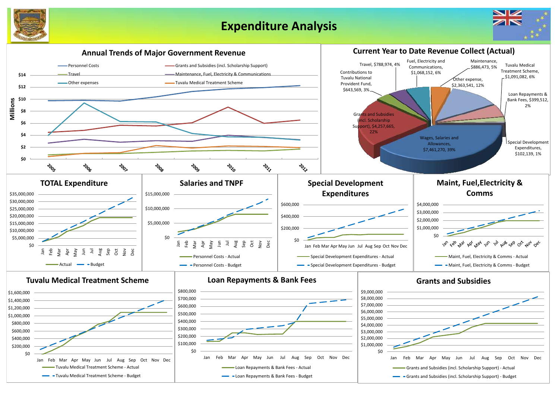

## **Expenditure Analysis**



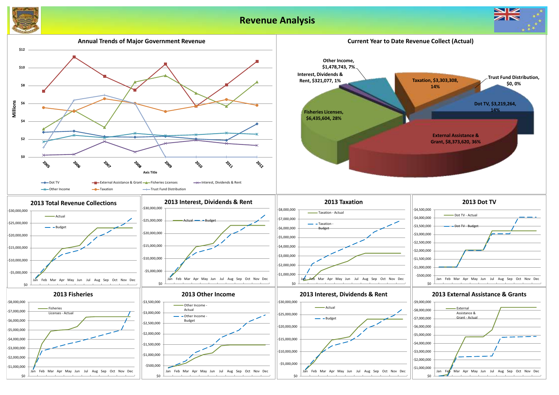



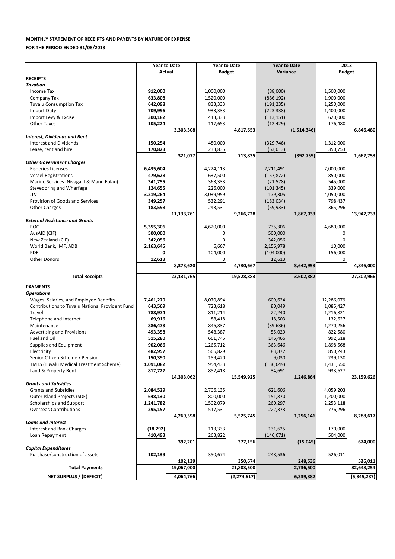### **MONTHLY STATEMENT OF RECEIPTS AND PAYENTS BY NATURE OF EXPENSE**

**FOR THE PERIOD ENDED 31/08/2013**

|                                                        | <b>Year to Date</b> |            | <b>Year to Date</b> |            | <b>Year to Date</b> |             | 2013          |            |
|--------------------------------------------------------|---------------------|------------|---------------------|------------|---------------------|-------------|---------------|------------|
|                                                        | Actual              |            | <b>Budget</b>       |            | Variance            |             | <b>Budget</b> |            |
| <b>RECEIPTS</b>                                        |                     |            |                     |            |                     |             |               |            |
| <b>Taxation</b>                                        |                     |            |                     |            |                     |             |               |            |
| Income Tax                                             | 912,000             |            | 1,000,000           |            | (88,000)            |             | 1,500,000     |            |
| Company Tax                                            | 633,808             |            | 1,520,000           |            | (886, 192)          |             | 1,900,000     |            |
| <b>Tuvalu Consumption Tax</b>                          | 642,098             |            | 833,333             |            | (191, 235)          |             | 1,250,000     |            |
| <b>Import Duty</b>                                     | 709,996             |            | 933,333             |            | (223, 338)          |             | 1,400,000     |            |
| Import Levy & Excise                                   | 300,182             |            | 413,333             |            | (113, 151)          |             | 620,000       |            |
| <b>Other Taxes</b>                                     | 105,224             |            | 117,653             |            | (12, 429)           |             | 176,480       |            |
|                                                        |                     | 3,303,308  |                     | 4,817,653  |                     | (1,514,346) |               | 6,846,480  |
| <b>Interest, Dividends and Rent</b>                    |                     |            |                     |            |                     |             |               |            |
| <b>Interest and Dividends</b>                          | 150,254             |            | 480,000             |            | (329, 746)          |             | 1,312,000     |            |
| Lease, rent and hire                                   | 170,823             |            | 233,835             |            | (63,013)            |             | 350,753       |            |
|                                                        |                     | 321,077    |                     | 713,835    |                     | (392, 759)  |               | 1,662,753  |
| <b>Other Government Charges</b>                        |                     |            |                     |            |                     |             |               |            |
| <b>Fisheries Licenses</b>                              | 6,435,604           |            | 4,224,113           |            | 2,211,491           |             | 7,000,000     |            |
| <b>Vessel Registrations</b>                            | 479,628             |            | 637,500             |            | (157, 872)          |             | 850,000       |            |
| Marine Services (Nivaga II & Manu Folau)               | 341,755             |            | 363,333             |            | (21, 578)           |             | 545,000       |            |
| Stevedoring and Wharfage                               | 124,655             |            | 226,000             |            | (101, 345)          |             | 339,000       |            |
| .TV                                                    | 3,219,264           |            | 3,039,959           |            | 179,305             |             | 4,050,000     |            |
| Provision of Goods and Services                        | 349,257             |            | 532,291             |            | (183, 034)          |             | 798,437       |            |
| <b>Other Charges</b>                                   | 183,598             |            | 243,531             |            | (59, 933)           |             | 365,296       |            |
|                                                        |                     | 11,133,761 |                     | 9,266,728  |                     | 1,867,033   |               | 13,947,733 |
| <b>External Assistance and Grants</b>                  |                     |            |                     |            |                     |             |               |            |
| <b>ROC</b>                                             | 5,355,306           |            | 4,620,000           |            | 735,306             |             | 4,680,000     |            |
| AusAID (CIF)                                           | 500,000             |            | 0                   |            | 500,000             |             | 0             |            |
| New Zealand (CIF)                                      | 342,056             |            | 0                   |            | 342,056             |             | $\mathbf 0$   |            |
| World Bank, IMF, ADB                                   | 2,163,645           |            | 6,667               |            | 2,156,978           |             | 10,000        |            |
| PDF                                                    | 0                   |            | 104,000             |            | (104,000)           |             | 156,000       |            |
| <b>Other Donors</b>                                    | 12,613              |            | 0                   |            | 12,613              |             | 0             |            |
|                                                        |                     | 8,373,620  |                     | 4,730,667  |                     | 3,642,953   |               | 4,846,000  |
|                                                        |                     |            |                     |            |                     |             |               |            |
| <b>Total Receipts</b>                                  |                     | 23,131,765 |                     | 19,528,883 |                     | 3,602,882   |               | 27,302,966 |
|                                                        |                     |            |                     |            |                     |             |               |            |
| <b>PAYMENTS</b>                                        |                     |            |                     |            |                     |             |               |            |
| <b>Operations</b>                                      |                     |            |                     |            |                     |             |               |            |
| Wages, Salaries, and Employee Benefits                 | 7,461,270           |            | 8,070,894           |            | 609,624             |             | 12,286,079    |            |
| <b>Contributions to Tuvalu National Provident Fund</b> | 643,569             |            | 723,618             |            | 80,049              |             | 1,085,427     |            |
| Travel                                                 | 788,974             |            | 811,214             |            | 22,240              |             | 1,216,821     |            |
| Telephone and Internet                                 | 69,916              |            | 88,418              |            | 18,503              |             | 132,627       |            |
| Maintenance                                            | 886,473             |            | 846,837             |            | (39, 636)           |             | 1,270,256     |            |
| <b>Advertising and Provisions</b>                      | 493,358             |            | 548,387             |            | 55,029              |             | 822,580       |            |
| Fuel and Oil                                           | 515,280             |            | 661,745             |            | 146,466             |             | 992,618       |            |
| Supplies and Equipment                                 | 902,066             |            | 1,265,712           |            | 363,646             |             | 1,898,568     |            |
| Electricity                                            | 482,957             |            | 566,829             |            | 83,872              |             | 850,243       |            |
| Senior Citizen Scheme / Pension                        | 150,390             |            | 159,420             |            | 9,030               |             | 239,130       |            |
| TMTS (Tuvalu Medical Treatment Scheme)                 | 1,091,082           |            | 954,433             |            | (136, 649)          |             | 1,431,650     |            |
| Land & Property Rent                                   | 817,727             |            | 852,418             |            | 34,691              |             | 933,627       |            |
|                                                        |                     | 14,303,062 |                     | 15,549,925 |                     | 1,246,864   |               | 23,159,626 |
| <b>Grants and Subsidies</b>                            |                     |            |                     |            |                     |             |               |            |
| <b>Grants and Subsidies</b>                            | 2,084,529           |            | 2,706,135           |            | 621,606             |             | 4,059,203     |            |
| Outer Island Projects (SDE)                            | 648,130             |            | 800,000             |            | 151,870             |             | 1,200,000     |            |
| Scholarships and Support                               | 1,241,782           |            | 1,502,079           |            | 260,297             |             | 2,253,118     |            |
| <b>Overseas Contributions</b>                          | 295,157             |            | 517,531             |            | 222,373             |             | 776,296       |            |
|                                                        |                     | 4,269,598  |                     | 5,525,745  |                     | 1,256,146   |               | 8,288,617  |
| <b>Loans and Interest</b>                              |                     |            |                     |            |                     |             |               |            |
| Interest and Bank Charges                              | (18, 292)           |            | 113,333             |            | 131,625             |             | 170,000       |            |
| Loan Repayment                                         | 410,493             |            | 263,822             |            | (146, 671)          |             | 504,000       |            |
|                                                        |                     | 392,201    |                     | 377,156    |                     | (15,045)    |               | 674,000    |
| <b>Capital Expenditures</b>                            |                     |            |                     |            |                     |             |               |            |
| Purchase/construction of assets                        | 102,139             |            | 350,674             |            | 248,536             |             | 526,011       |            |
|                                                        |                     | 102,139    |                     | 350,674    |                     | 248,536     |               | 526,011    |
|                                                        |                     |            |                     |            |                     |             |               |            |
| <b>Total Payments</b>                                  |                     | 19,067,000 |                     | 21,803,500 |                     | 2,736,500   |               | 32,648,254 |